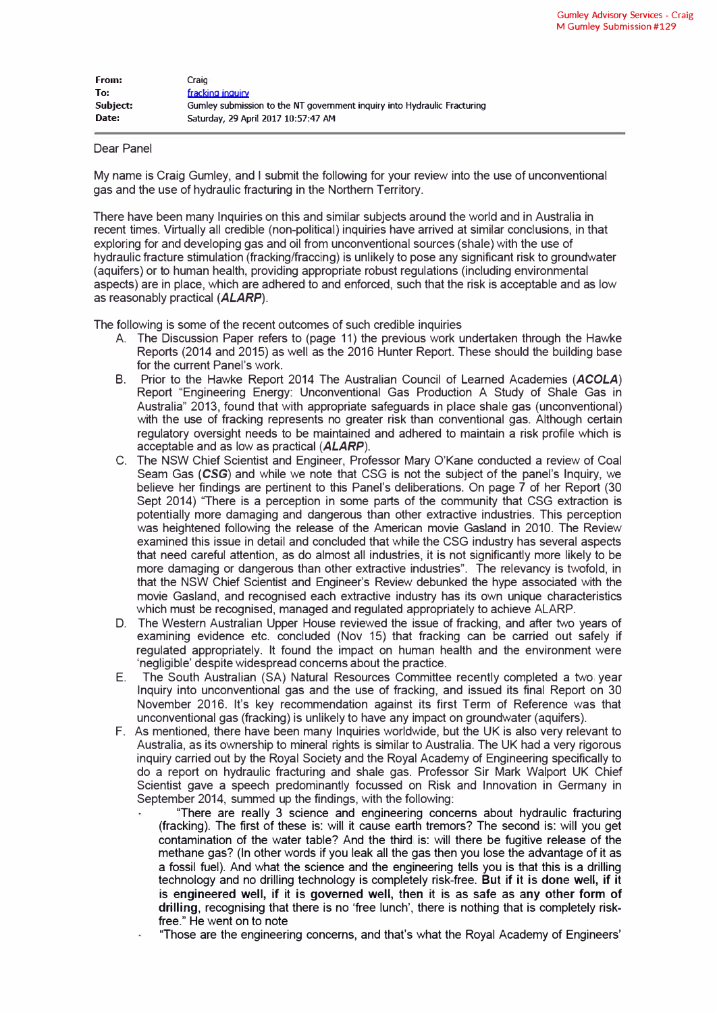| From:    | Craig                                                                    |
|----------|--------------------------------------------------------------------------|
| To:      | fracking inquiry                                                         |
| Subject: | Gumley submission to the NT government inquiry into Hydraulic Fracturing |
| Date:    | Saturday, 29 April 2017 10:57:47 AM                                      |

## Dear Panel

My name is Craig Gumley, and I submit the following for your review into the use of unconventional gas and the use of hydraulic fracturing in the Northern Territory.

There have been many Inquiries on this and similar subjects around the world and in Australia in recent times. Virtually all credible (non-political) inquiries have arrived at similar conclusions, in that exploring for and developing gas and oil from unconventional sources (shale) with the use of hydraulic fracture stimulation (fracking/fraccing) is unlikely to pose any significant risk to groundwater (aquifers) or to human health, providing appropriate robust regulations (including environmental aspects) are in place, which are adhered to and enforced, such that the risk is acceptable and as low as reasonably practical *(ALARP).* 

The following is some of the recent outcomes of such credible inquiries

- A. The Discussion Paper refers to (page 11) the previous work undertaken through the Hawke Reports (2014 and 2015) as well as the 2016 Hunter Report. These should the building base for the current Panel's work.
- B. Prior to the Hawke Report 2014 The Australian Council of Learned Academies *(ACOLA)* Report "Engineering Energy: Unconventional Gas Production A Study of Shale Gas in Australia" 2013, found that with appropriate safeguards in place shale gas (unconventional) with the use of tracking represents no greater risk than conventional gas. Although certain regulatory oversight needs to be maintained and adhered to maintain a risk profile which is acceptable and as low as practical *(ALARP).*
- C. The NSW Chief Scientist and Engineer, Professor Mary O'Kane conducted a review of Coal Seam Gas **(CSG)** and while we note that CSG is not the subject of the panel's Inquiry, we believe her findings are pertinent to this Panel's deliberations. On page 7 of her Report (30 Sept 2014) "There is a perception in some parts of the community that CSG extraction is potentially more damaging and dangerous than other extractive industries. This perception was heightened following the release of the American movie Gasland in 2010. The Review examined this issue in detail and concluded that while the CSG industry has several aspects that need careful attention, as do almost all industries, it is not significantly more likely to be more damaging or dangerous than other extractive industries". The relevancy is twofold, in that the NSW Chief Scientist and Engineer's Review debunked the hype associated with the movie Gasland, and recognised each extractive industry has its own unique characteristics which must be recognised, managed and regulated appropriately to achieve ALARP.
- D. The Western Australian Upper House reviewed the issue of tracking, and after two years of examining evidence etc. concluded (Nov 15) that tracking can be carried out safely if regulated appropriately. It found the impact on human health and the environment were 'negligible' despite widespread concerns about the practice.
- E. The South Australian (SA) Natural Resources Committee recently completed a two year Inquiry into unconventional gas and the use of tracking, and issued its final Report on 30 November 2016. It's key recommendation against its first Term of Reference was that unconventional gas (fracking) is unlikely to have any impact on groundwater (aquifers).
- F. As mentioned, there have been many Inquiries worldwide, but the UK is also very relevant to Australia, as its ownership to mineral rights is similar to Australia. The UK had a very rigorous inquiry carried out by the Royal Society and the Royal Academy of Engineering specifically to do a report on hydraulic fracturing and shale gas. Professor Sir Mark Walport UK Chief Scientist gave a speech predominantly focussed on Risk and Innovation in Germany in September 2014, summed up the findings, with the following:
	- "There are really 3 science and engineering concerns about hydraulic fracturing (tracking). The first of these is: will it cause earth tremors? The second is: will you get contamination of the water table? And the third is: will there be fugitive release of the methane gas? (In other words if you leak all the gas then you lose the advantage of it as a fossil fuel). And what the science and the engineering tells you is that this is a drilling technology and no drilling technology is completely risk-free. But if it is done well, if it is engineered well, if it is governed well, then it is as safe as any other form of drilling, recognising that there is no 'free lunch', there is nothing that is completely riskfree." He went on to note
	- "Those are the engineering concerns, and that's what the Royal Academy of Engineers'